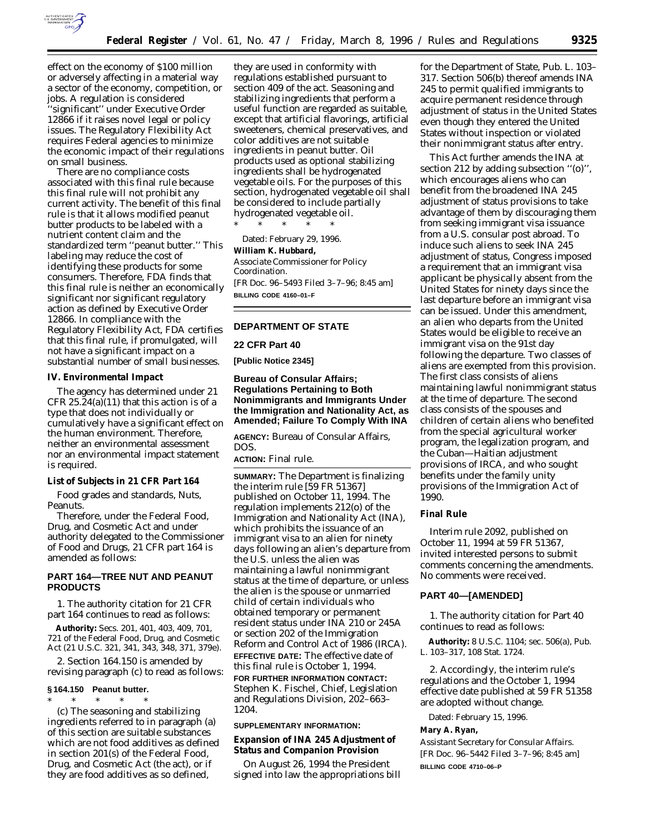

effect on the economy of \$100 million or adversely affecting in a material way a sector of the economy, competition, or jobs. A regulation is considered ''significant'' under Executive Order 12866 if it raises novel legal or policy issues. The Regulatory Flexibility Act requires Federal agencies to minimize the economic impact of their regulations on small business.

There are no compliance costs associated with this final rule because this final rule will not prohibit any current activity. The benefit of this final rule is that it allows modified peanut butter products to be labeled with a nutrient content claim and the standardized term ''peanut butter.'' This labeling may reduce the cost of identifying these products for some consumers. Therefore, FDA finds that this final rule is neither an economically significant nor significant regulatory action as defined by Executive Order 12866. In compliance with the Regulatory Flexibility Act, FDA certifies that this final rule, if promulgated, will not have a significant impact on a substantial number of small businesses.

**IV. Environmental Impact**

The agency has determined under 21 CFR  $25.24(a)(11)$  that this action is of a type that does not individually or cumulatively have a significant effect on the human environment. Therefore, neither an environmental assessment nor an environmental impact statement is required.

**List of Subjects in 21 CFR Part 164**

Food grades and standards, Nuts, Peanuts.

Therefore, under the Federal Food, Drug, and Cosmetic Act and under authority delegated to the Commissioner of Food and Drugs, 21 CFR part 164 is amended as follows:

## **PART 164—TREE NUT AND PEANUT PRODUCTS**

1. The authority citation for 21 CFR part 164 continues to read as follows:

**Authority:** Secs. 201, 401, 403, 409, 701, 721 of the Federal Food, Drug, and Cosmetic Act (21 U.S.C. 321, 341, 343, 348, 371, 379e).

2. Section 164.150 is amended by revising paragraph (c) to read as follows:

#### **§ 164.150 Peanut butter.**

\* \* \* \* \* (c) The seasoning and stabilizing ingredients referred to in paragraph (a) of this section are suitable substances which are not food additives as defined in section 201(s) of the Federal Food, Drug, and Cosmetic Act (the act), or if they are food additives as so defined,

they are used in conformity with regulations established pursuant to section 409 of the act. Seasoning and stabilizing ingredients that perform a useful function are regarded as suitable, except that artificial flavorings, artificial sweeteners, chemical preservatives, and color additives are not suitable ingredients in peanut butter. Oil products used as optional stabilizing ingredients shall be hydrogenated vegetable oils. For the purposes of this section, hydrogenated vegetable oil shall be considered to include partially hydrogenated vegetable oil.

\* \* \* \* \*

Dated: February 29, 1996. **William K. Hubbard,** *Associate Commissioner for Policy Coordination.* [FR Doc. 96–5493 Filed 3–7–96; 8:45 am] **BILLING CODE 4160–01–F**

# **DEPARTMENT OF STATE**

**22 CFR Part 40**

**[Public Notice 2345]**

**Bureau of Consular Affairs; Regulations Pertaining to Both Nonimmigrants and Immigrants Under the Immigration and Nationality Act, as Amended; Failure To Comply With INA**

**AGENCY:** Bureau of Consular Affairs, DOS.

**ACTION:** Final rule.

**SUMMARY:** The Department is finalizing the interim rule [59 FR 51367] published on October 11, 1994. The regulation implements 212(o) of the Immigration and Nationality Act (INA), which prohibits the issuance of an immigrant visa to an alien for ninety days following an alien's departure from the U.S. unless the alien was maintaining a lawful nonimmigrant status at the time of departure, or unless the alien is the spouse or unmarried child of certain individuals who obtained temporary or permanent resident status under INA 210 or 245A or section 202 of the Immigration Reform and Control Act of 1986 (IRCA). **EFFECTIVE DATE:** The effective date of this final rule is October 1, 1994. **FOR FURTHER INFORMATION CONTACT:** Stephen K. Fischel, Chief, Legislation and Regulations Division, 202–663– 1204.

## **SUPPLEMENTARY INFORMATION:**

**Expansion of INA 245 Adjustment of Status and Companion Provision**

On August 26, 1994 the President signed into law the appropriations bill

for the Department of State, Pub. L. 103– 317. Section 506(b) thereof amends INA 245 to permit qualified immigrants to acquire permanent residence through adjustment of status in the United States even though they entered the United States without inspection or violated their nonimmigrant status after entry.

This Act further amends the INA at section 212 by adding subsection ''(o)'', which encourages aliens who can benefit from the broadened INA 245 adjustment of status provisions to take advantage of them by discouraging them from seeking immigrant visa issuance from a U.S. consular post abroad. To induce such aliens to seek INA 245 adjustment of status, Congress imposed a requirement that an immigrant visa applicant be physically absent from the United States for ninety days since the last departure before an immigrant visa can be issued. Under this amendment, an alien who departs from the United States would be eligible to receive an immigrant visa on the 91st day following the departure. Two classes of aliens are exempted from this provision. The first class consists of aliens maintaining lawful nonimmigrant status at the time of departure. The second class consists of the spouses and children of certain aliens who benefited from the special agricultural worker program, the legalization program, and the Cuban—Haitian adjustment provisions of IRCA, and who sought benefits under the family unity provisions of the Immigration Act of 1990.

## **Final Rule**

Interim rule 2092, published on October 11, 1994 at 59 FR 51367, invited interested persons to submit comments concerning the amendments. No comments were received.

# **PART 40—[AMENDED]**

1. The authority citation for Part 40 continues to read as follows:

**Authority:** 8 U.S.C. 1104; sec. 506(a), Pub. L. 103–317, 108 Stat. 1724.

2. Accordingly, the interim rule's regulations and the October 1, 1994 effective date published at 59 FR 51358 are adopted without change.

Dated: February 15, 1996.

#### **Mary A. Ryan,**

*Assistant Secretary for Consular Affairs.* [FR Doc. 96–5442 Filed 3–7–96; 8:45 am] **BILLING CODE 4710–06–P**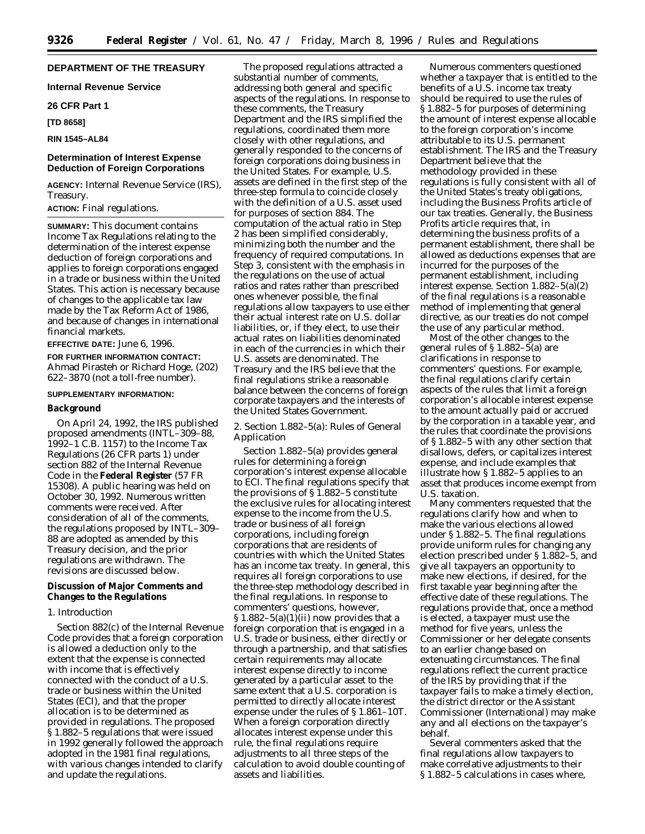# **DEPARTMENT OF THE TREASURY**

**Internal Revenue Service**

## **26 CFR Part 1**

**[TD 8658]**

# **RIN 1545–AL84**

## **Determination of Interest Expense Deduction of Foreign Corporations**

**AGENCY:** Internal Revenue Service (IRS), Treasury.

#### **ACTION:** Final regulations.

**SUMMARY:** This document contains Income Tax Regulations relating to the determination of the interest expense deduction of foreign corporations and applies to foreign corporations engaged in a trade or business within the United States. This action is necessary because of changes to the applicable tax law made by the Tax Reform Act of 1986, and because of changes in international financial markets.

# **EFFECTIVE DATE:** June 6, 1996. **FOR FURTHER INFORMATION CONTACT:** Ahmad Pirasteh or Richard Hoge, (202) 622–3870 (not a toll-free number).

#### **SUPPLEMENTARY INFORMATION:**

#### **Background**

On April 24, 1992, the IRS published proposed amendments (INTL–309–88, 1992–1 C.B. 1157) to the Income Tax Regulations (26 CFR parts 1) under section 882 of the Internal Revenue Code in the **Federal Register** (57 FR 15308). A public hearing was held on October 30, 1992. Numerous written comments were received. After consideration of all of the comments, the regulations proposed by INTL–309– 88 are adopted as amended by this Treasury decision, and the prior regulations are withdrawn. The revisions are discussed below.

# **Discussion of Major Comments and Changes to the Regulations**

#### *1. Introduction*

Section 882(c) of the Internal Revenue Code provides that a foreign corporation is allowed a deduction only to the extent that the expense is connected with income that is effectively connected with the conduct of a U.S. trade or business within the United States (ECI), and that the proper allocation is to be determined as provided in regulations. The proposed § 1.882–5 regulations that were issued in 1992 generally followed the approach adopted in the 1981 final regulations, with various changes intended to clarify and update the regulations.

The proposed regulations attracted a substantial number of comments, addressing both general and specific aspects of the regulations. In response to these comments, the Treasury Department and the IRS simplified the regulations, coordinated them more closely with other regulations, and generally responded to the concerns of foreign corporations doing business in the United States. For example, U.S. assets are defined in the first step of the three-step formula to coincide closely with the definition of a U.S. asset used for purposes of section 884. The computation of the actual ratio in Step 2 has been simplified considerably, minimizing both the number and the frequency of required computations. In Step 3, consistent with the emphasis in the regulations on the use of actual ratios and rates rather than prescribed ones whenever possible, the final regulations allow taxpayers to use either their actual interest rate on U.S. dollar liabilities, or, if they elect, to use their actual rates on liabilities denominated in each of the currencies in which their U.S. assets are denominated. The Treasury and the IRS believe that the final regulations strike a reasonable balance between the concerns of foreign corporate taxpayers and the interests of the United States Government.

## *2. Section 1.882–5(a): Rules of General Application*

Section 1.882–5(a) provides general rules for determining a foreign corporation's interest expense allocable to ECI. The final regulations specify that the provisions of § 1.882–5 constitute the exclusive rules for allocating interest expense to the income from the U.S. trade or business of all foreign corporations, including foreign corporations that are residents of countries with which the United States has an income tax treaty. In general, this requires all foreign corporations to use the three-step methodology described in the final regulations. In response to commenters' questions, however,  $§ 1.882-5(a)(1)(ii)$  now provides that a foreign corporation that is engaged in a U.S. trade or business, either directly or through a partnership, and that satisfies certain requirements may allocate interest expense directly to income generated by a particular asset to the same extent that a U.S. corporation is permitted to directly allocate interest expense under the rules of § 1.861–10T. When a foreign corporation directly allocates interest expense under this rule, the final regulations require adjustments to all three steps of the calculation to avoid double counting of assets and liabilities.

Numerous commenters questioned whether a taxpayer that is entitled to the benefits of a U.S. income tax treaty should be required to use the rules of § 1.882–5 for purposes of determining the amount of interest expense allocable to the foreign corporation's income attributable to its U.S. permanent establishment. The IRS and the Treasury Department believe that the methodology provided in these regulations is fully consistent with all of the United States's treaty obligations, including the Business Profits article of our tax treaties. Generally, the Business Profits article requires that, in determining the business profits of a permanent establishment, there shall be allowed as deductions expenses that are incurred for the purposes of the permanent establishment, including interest expense. Section 1.882–5(a)(2) of the final regulations is a reasonable method of implementing that general directive, as our treaties do not compel the use of any particular method.

Most of the other changes to the general rules of § 1.882–5(a) are clarifications in response to commenters' questions. For example, the final regulations clarify certain aspects of the rules that limit a foreign corporation's allocable interest expense to the amount actually paid or accrued by the corporation in a taxable year, and the rules that coordinate the provisions of § 1.882–5 with any other section that disallows, defers, or capitalizes interest expense, and include examples that illustrate how § 1.882–5 applies to an asset that produces income exempt from U.S. taxation.

Many commenters requested that the regulations clarify how and when to make the various elections allowed under § 1.882–5. The final regulations provide uniform rules for changing any election prescribed under § 1.882–5, and give all taxpayers an opportunity to make new elections, if desired, for the first taxable year beginning after the effective date of these regulations. The regulations provide that, once a method is elected, a taxpayer must use the method for five years, unless the Commissioner or her delegate consents to an earlier change based on extenuating circumstances. The final regulations reflect the current practice of the IRS by providing that if the taxpayer fails to make a timely election, the district director or the Assistant Commissioner (International) may make any and all elections on the taxpayer's behalf.

Several commenters asked that the final regulations allow taxpayers to make correlative adjustments to their § 1.882–5 calculations in cases where,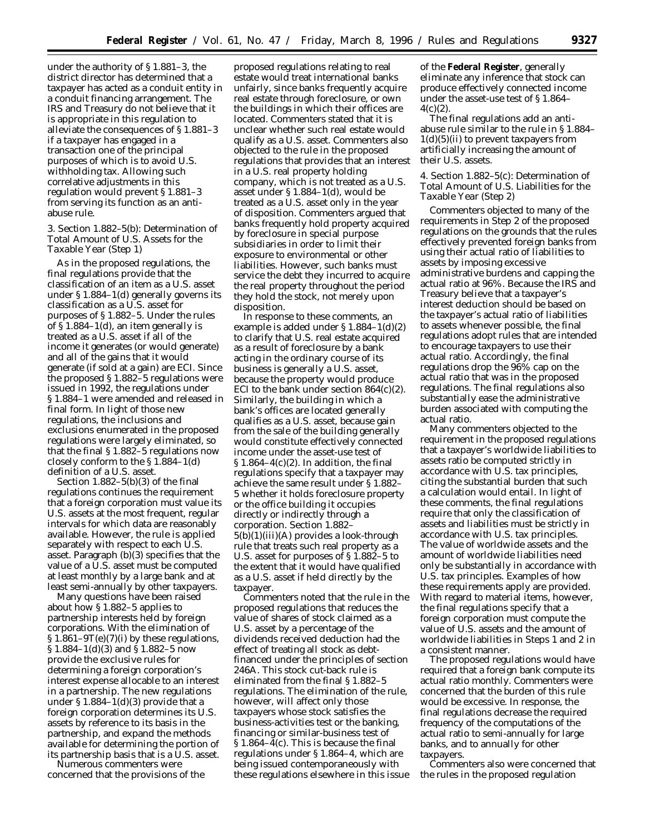under the authority of § 1.881–3, the district director has determined that a taxpayer has acted as a conduit entity in a conduit financing arrangement. The IRS and Treasury do not believe that it is appropriate in this regulation to alleviate the consequences of § 1.881–3 if a taxpayer has engaged in a transaction one of the principal purposes of which is to avoid U.S. withholding tax. Allowing such correlative adjustments in this regulation would prevent § 1.881–3 from serving its function as an antiabuse rule.

## *3. Section 1.882–5(b): Determination of Total Amount of U.S. Assets for the Taxable Year (Step 1)*

As in the proposed regulations, the final regulations provide that the classification of an item as a U.S. asset under § 1.884–1(d) generally governs its classification as a U.S. asset for purposes of § 1.882–5. Under the rules of § 1.884–1(d), an item generally is treated as a U.S. asset if all of the income it generates (or would generate) and all of the gains that it would generate (if sold at a gain) are ECI. Since the proposed § 1.882–5 regulations were issued in 1992, the regulations under § 1.884–1 were amended and released in final form. In light of those new regulations, the inclusions and exclusions enumerated in the proposed regulations were largely eliminated, so that the final § 1.882–5 regulations now closely conform to the § 1.884–1(d) definition of a U.S. asset.

Section  $1.882-5(b)(3)$  of the final regulations continues the requirement that a foreign corporation must value its U.S. assets at the most frequent, regular intervals for which data are reasonably available. However, the rule is applied separately with respect to each U.S. asset. Paragraph (b)(3) specifies that the value of a U.S. asset must be computed at least monthly by a large bank and at least semi-annually by other taxpayers.

Many questions have been raised about how § 1.882–5 applies to partnership interests held by foreign corporations. With the elimination of  $\S 1.861 - 9T(e)(7)(i)$  by these regulations, § 1.884–1(d)(3) and § 1.882–5 now provide the exclusive rules for determining a foreign corporation's interest expense allocable to an interest in a partnership. The new regulations under  $\S 1.884-1(d)(3)$  provide that a foreign corporation determines its U.S. assets by reference to its basis in the partnership, and expand the methods available for determining the portion of its partnership basis that is a U.S. asset.

Numerous commenters were concerned that the provisions of the

proposed regulations relating to real estate would treat international banks unfairly, since banks frequently acquire real estate through foreclosure, or own the buildings in which their offices are located. Commenters stated that it is unclear whether such real estate would qualify as a U.S. asset. Commenters also objected to the rule in the proposed regulations that provides that an interest in a U.S. real property holding company, which is not treated as a U.S. asset under § 1.884–1(d), would be treated as a U.S. asset only in the year of disposition. Commenters argued that banks frequently hold property acquired by foreclosure in special purpose subsidiaries in order to limit their exposure to environmental or other liabilities. However, such banks must service the debt they incurred to acquire the real property throughout the period they hold the stock, not merely upon disposition.

In response to these comments, an example is added under § 1.884–1(d)(2) to clarify that U.S. real estate acquired as a result of foreclosure by a bank acting in the ordinary course of its business is generally a U.S. asset, because the property would produce ECI to the bank under section  $864(c)(2)$ . Similarly, the building in which a bank's offices are located generally qualifies as a U.S. asset, because gain from the sale of the building generally would constitute effectively connected income under the asset-use test of  $\S 1.864-4(c)(2)$ . In addition, the final regulations specify that a taxpayer may achieve the same result under § 1.882– 5 whether it holds foreclosure property or the office building it occupies directly or indirectly through a corporation. Section 1.882– 5(b)(1)(iii)(A) provides a look-through rule that treats such real property as a U.S. asset for purposes of § 1.882–5 to the extent that it would have qualified as a U.S. asset if held directly by the taxpayer.

Commenters noted that the rule in the proposed regulations that reduces the value of shares of stock claimed as a U.S. asset by a percentage of the dividends received deduction had the effect of treating all stock as debtfinanced under the principles of section 246A. This stock cut-back rule is eliminated from the final § 1.882–5 regulations. The elimination of the rule, however, will affect only those taxpayers whose stock satisfies the business-activities test or the banking, financing or similar-business test of § 1.864–4(c). This is because the final regulations under § 1.864–4, which are being issued contemporaneously with these regulations elsewhere in this issue of the **Federal Register**, generally eliminate any inference that stock can produce effectively connected income under the asset-use test of § 1.864–  $4(c)(2)$ .

The final regulations add an antiabuse rule similar to the rule in § 1.884–  $1(d)(5)(ii)$  to prevent taxpayers from artificially increasing the amount of their U.S. assets.

## *4. Section 1.882–5(c): Determination of Total Amount of U.S. Liabilities for the Taxable Year (Step 2)*

Commenters objected to many of the requirements in Step 2 of the proposed regulations on the grounds that the rules effectively prevented foreign banks from using their actual ratio of liabilities to assets by imposing excessive administrative burdens and capping the actual ratio at 96%. Because the IRS and Treasury believe that a taxpayer's interest deduction should be based on the taxpayer's actual ratio of liabilities to assets whenever possible, the final regulations adopt rules that are intended to encourage taxpayers to use their actual ratio. Accordingly, the final regulations drop the 96% cap on the actual ratio that was in the proposed regulations. The final regulations also substantially ease the administrative burden associated with computing the actual ratio.

Many commenters objected to the requirement in the proposed regulations that a taxpayer's worldwide liabilities to assets ratio be computed strictly in accordance with U.S. tax principles, citing the substantial burden that such a calculation would entail. In light of these comments, the final regulations require that only the classification of assets and liabilities must be strictly in accordance with U.S. tax principles. The value of worldwide assets and the amount of worldwide liabilities need only be substantially in accordance with U.S. tax principles. Examples of how these requirements apply are provided. With regard to material items, however, the final regulations specify that a foreign corporation must compute the value of U.S. assets and the amount of worldwide liabilities in Steps 1 and 2 in a consistent manner.

The proposed regulations would have required that a foreign bank compute its actual ratio monthly. Commenters were concerned that the burden of this rule would be excessive. In response, the final regulations decrease the required frequency of the computations of the actual ratio to semi-annually for large banks, and to annually for other taxpayers.

Commenters also were concerned that the rules in the proposed regulation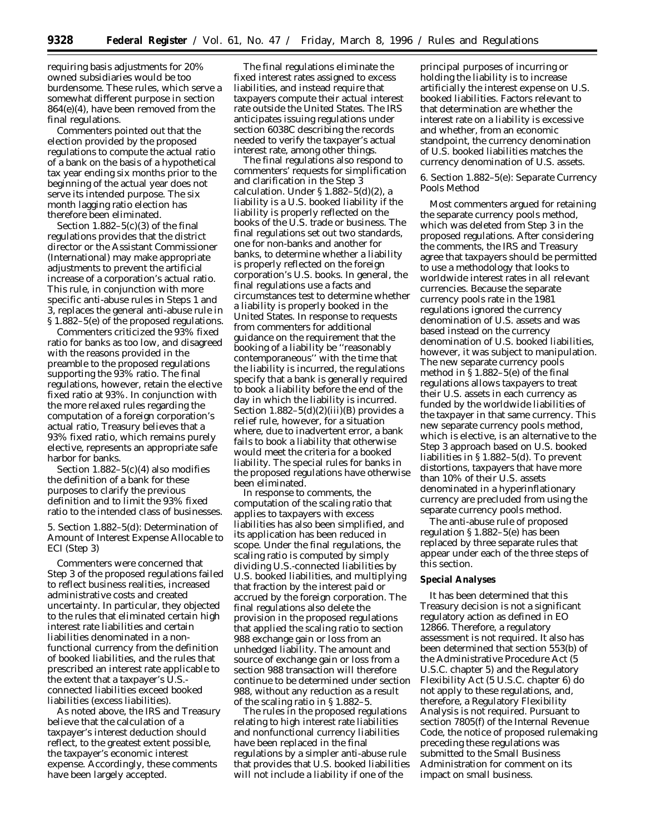requiring basis adjustments for 20% owned subsidiaries would be too burdensome. These rules, which serve a somewhat different purpose in section 864(e)(4), have been removed from the final regulations.

Commenters pointed out that the election provided by the proposed regulations to compute the actual ratio of a bank on the basis of a hypothetical tax year ending six months prior to the beginning of the actual year does not serve its intended purpose. The six month lagging ratio election has therefore been eliminated.

Section  $1.882-5(c)(3)$  of the final regulations provides that the district director or the Assistant Commissioner (International) may make appropriate adjustments to prevent the artificial increase of a corporation's actual ratio. This rule, in conjunction with more specific anti-abuse rules in Steps 1 and 3, replaces the general anti-abuse rule in § 1.882–5(e) of the proposed regulations.

Commenters criticized the 93% fixed ratio for banks as too low, and disagreed with the reasons provided in the preamble to the proposed regulations supporting the 93% ratio. The final regulations, however, retain the elective fixed ratio at 93%. In conjunction with the more relaxed rules regarding the computation of a foreign corporation's actual ratio, Treasury believes that a 93% fixed ratio, which remains purely elective, represents an appropriate safe harbor for banks.

Section  $1.882-5(c)(4)$  also modifies the definition of a bank for these purposes to clarify the previous definition and to limit the 93% fixed ratio to the intended class of businesses.

## *5. Section 1.882–5(d): Determination of Amount of Interest Expense Allocable to ECI (Step 3)*

Commenters were concerned that Step 3 of the proposed regulations failed to reflect business realities, increased administrative costs and created uncertainty. In particular, they objected to the rules that eliminated certain high interest rate liabilities and certain liabilities denominated in a nonfunctional currency from the definition of *booked liabilities,* and the rules that prescribed an interest rate applicable to the extent that a taxpayer's U.S. connected liabilities exceed booked liabilities (*excess liabilities*).

As noted above, the IRS and Treasury believe that the calculation of a taxpayer's interest deduction should reflect, to the greatest extent possible, the taxpayer's economic interest expense. Accordingly, these comments have been largely accepted.

The final regulations eliminate the fixed interest rates assigned to excess liabilities, and instead require that taxpayers compute their actual interest rate outside the United States. The IRS anticipates issuing regulations under section 6038C describing the records needed to verify the taxpayer's actual interest rate, among other things.

The final regulations also respond to commenters' requests for simplification and clarification in the Step 3 calculation. Under § 1.882–5(d)(2), a liability is a U.S. booked liability if the liability is properly reflected on the books of the U.S. trade or business. The final regulations set out two standards, one for non-banks and another for banks, to determine whether a liability is properly reflected on the foreign corporation's U.S. books. In general, the final regulations use a facts and circumstances test to determine whether a liability is properly booked in the United States. In response to requests from commenters for additional guidance on the requirement that the booking of a liability be ''reasonably contemporaneous'' with the time that the liability is incurred, the regulations specify that a bank is generally required to book a liability before the end of the day in which the liability is incurred. Section  $1.882-5(d)(2)(iii)(B)$  provides a relief rule, however, for a situation where, due to inadvertent error, a bank fails to book a liability that otherwise would meet the criteria for a booked liability. The special rules for banks in the proposed regulations have otherwise been eliminated.

In response to comments, the computation of the scaling ratio that applies to taxpayers with excess liabilities has also been simplified, and its application has been reduced in scope. Under the final regulations, the scaling ratio is computed by simply dividing U.S.-connected liabilities by U.S. booked liabilities, and multiplying that fraction by the interest paid or accrued by the foreign corporation. The final regulations also delete the provision in the proposed regulations that applied the scaling ratio to section 988 exchange gain or loss from an unhedged liability. The amount and source of exchange gain or loss from a section 988 transaction will therefore continue to be determined under section 988, without any reduction as a result of the scaling ratio in § 1.882–5.

The rules in the proposed regulations relating to high interest rate liabilities and nonfunctional currency liabilities have been replaced in the final regulations by a simpler anti-abuse rule that provides that U.S. booked liabilities will not include a liability if one of the

principal purposes of incurring or holding the liability is to increase artificially the interest expense on U.S. booked liabilities. Factors relevant to that determination are whether the interest rate on a liability is excessive and whether, from an economic standpoint, the currency denomination of U.S. booked liabilities matches the currency denomination of U.S. assets.

## *6. Section 1.882–5(e): Separate Currency Pools Method*

Most commenters argued for retaining the separate currency pools method, which was deleted from Step 3 in the proposed regulations. After considering the comments, the IRS and Treasury agree that taxpayers should be permitted to use a methodology that looks to worldwide interest rates in all relevant currencies. Because the separate currency pools rate in the 1981 regulations ignored the currency denomination of U.S. assets and was based instead on the currency denomination of U.S. booked liabilities, however, it was subject to manipulation. The new separate currency pools method in § 1.882–5(e) of the final regulations allows taxpayers to treat their U.S. assets in each currency as funded by the worldwide liabilities of the taxpayer in that same currency. This new separate currency pools method, which is elective, is an alternative to the Step 3 approach based on U.S. booked liabilities in § 1.882–5(d). To prevent distortions, taxpayers that have more than 10% of their U.S. assets denominated in a hyperinflationary currency are precluded from using the separate currency pools method.

The anti-abuse rule of proposed regulation § 1.882–5(e) has been replaced by three separate rules that appear under each of the three steps of this section.

#### **Special Analyses**

It has been determined that this Treasury decision is not a significant regulatory action as defined in EO 12866. Therefore, a regulatory assessment is not required. It also has been determined that section 553(b) of the Administrative Procedure Act (5 U.S.C. chapter 5) and the Regulatory Flexibility Act (5 U.S.C. chapter 6) do not apply to these regulations, and, therefore, a Regulatory Flexibility Analysis is not required. Pursuant to section 7805(f) of the Internal Revenue Code, the notice of proposed rulemaking preceding these regulations was submitted to the Small Business Administration for comment on its impact on small business.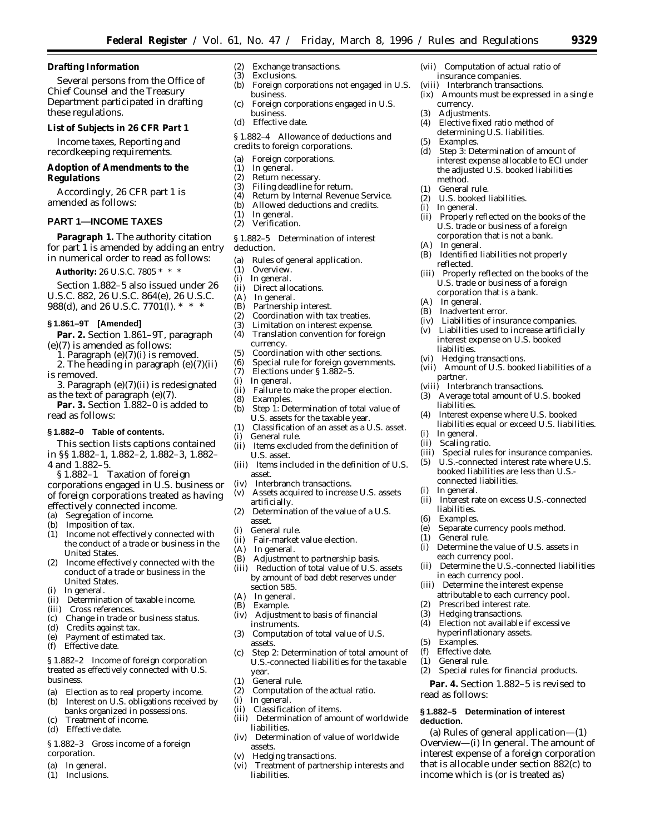**Drafting Information**

Several persons from the Office of Chief Counsel and the Treasury Department participated in drafting these regulations.

**List of Subjects in 26 CFR Part 1**

Income taxes, Reporting and recordkeeping requirements.

**Adoption of Amendments to the Regulations**

Accordingly, 26 CFR part 1 is amended as follows:

## **PART 1—INCOME TAXES**

**Paragraph 1.** The authority citation for part 1 is amended by adding an entry in numerical order to read as follows:

**Authority:** 26 U.S.C. 7805 \* \* \*

Section 1.882–5 also issued under 26 U.S.C. 882, 26 U.S.C. 864(e), 26 U.S.C. 988(d), and 26 U.S.C. 7701(l). \* \* \*

# **§ 1.861–9T [Amended]**

**Par. 2.** Section 1.861–9T, paragraph (e)(7) is amended as follows:

1. Paragraph (e)(7)(i) is removed.

- 2. The heading in paragraph (e)(7)(ii) is removed.
- 3. Paragraph (e)(7)(ii) is redesignated as the text of paragraph (e)(7).
- **Par. 3.** Section 1.882–0 is added to read as follows:

## **§ 1.882–0 Table of contents.**

This section lists captions contained in §§ 1.882–1, 1.882–2, 1.882–3, 1.882–

4 and 1.882–5.

- § 1.882–1 Taxation of foreign corporations engaged in U.S. business or of foreign corporations treated as having effectively connected income.
- (a) Segregation of income.
- (b) Imposition of tax.
- (1) Income not effectively connected with the conduct of a trade or business in the United States.
- (2) Income effectively connected with the conduct of a trade or business in the United States.
- In general.
- (ii) Determination of taxable income.
- (iii) Cross references.
- (c) Change in trade or business status.
- (d) Credits against tax.
- (e) Payment of estimated tax.
- (f) Effective date.

#### *§ 1.882–2 Income of foreign corporation treated as effectively connected with U.S. business.*

- (a) Election as to real property income.
- (b) Interest on U.S. obligations received by banks organized in possessions.
- Treatment of income.
- (d) Effective date.

## *§ 1.882–3 Gross income of a foreign corporation.*

- (a) In general.<br>(1) Inclusions
- Inclusions.
- (2) Exchange transactions.
- (3) Exclusions.
- Foreign corporations not engaged in U.S. business.
- (c) Foreign corporations engaged in U.S. business.
- (d) Effective date.

#### *§ 1.882–4 Allowance of deductions and credits to foreign corporations.*

- (a) Foreign corporations.
- (1) In general.
- (2) Return necessary.<br>(3) Filing deadline fo
- Filing deadline for return.
- (4) Return by Internal Revenue Service.
- (b) Allowed deductions and credits.<br>(1) In general.
- (1) In general.
- Verification.

*§ 1.882–5 Determination of interest deduction.*

- (a) Rules of general application.<br>(1) Overview
- Overview.
- (i) In general.
- (ii) Direct allocations.<br>(A) In general.
- (A) In general.<br>(B) Partnership
- Partnership interest.
- (2) Coordination with tax treaties.
- (3) Limitation on interest expense.<br>(4) Translation convention for fore
- (4) Translation convention for foreign currency.
- (5) Coordination with other sections.
- (6) Special rule for foreign governments.<br>(7) Elections under § 1.882-5.
- (7) Elections under  $\S 1.882-5$ .<br>(i) In general.
- In general.
- (ii) Failure to make the proper election.
- (8) Examples.<br>(b) Step 1: De Step 1: Determination of total value of
- U.S. assets for the taxable year. (1) Classification of an asset as a U.S. asset.
- (i) General rule.
- (ii) Items excluded from the definition of U.S. asset.
- (iii) Items included in the definition of U.S. asset.
- (iv) Interbranch transactions.
- (v) Assets acquired to increase U.S. assets artificially.
- (2) Determination of the value of a U.S. asset.
- (i) General rule.
- (ii) Fair-market value election.<br>(A) In general.
- (A) In general.<br>(B) Adiustmen
- Adjustment to partnership basis.
- (iii) Reduction of total value of U.S. assets by amount of bad debt reserves under section 585.
- (A) In general.<br>(B) Example.
- Example.
- (iv) Adjustment to basis of financial instruments.
- (3) Computation of total value of U.S. assets.
- (c) Step 2: Determination of total amount of U.S.-connected liabilities for the taxable year.
- (1) General rule.
- (2) Computation of the actual ratio.
- (i) In general.
- (ii) Classification of items.
- (iii) Determination of amount of worldwide liabilities.
- (iv) Determination of value of worldwide assets.
- (v) Hedging transactions.
- (vi) Treatment of partnership interests and liabilities.
- (vii) Computation of actual ratio of insurance companies.
- (viii) Interbranch transactions.
- (ix) Amounts must be expressed in a single currency.

Step 3: Determination of amount of interest expense allocable to ECI under the adjusted U.S. booked liabilities

(ii) Properly reflected on the books of the U.S. trade or business of a foreign corporation that is not a bank.

(iii) Properly reflected on the books of the U.S. trade or business of a foreign corporation that is a bank.

(iv) Liabilities of insurance companies. (v) Liabilities used to increase artificially interest expense on U.S. booked

(vii) Amount of U.S. booked liabilities of a

(3) Average total amount of U.S. booked

(4) Interest expense where U.S. booked liabilities equal or exceed U.S. liabilities.

(iii) Special rules for insurance companies. (5) U.S.-connected interest rate where U.S. booked liabilities are less than U.S.-

(ii) Interest rate on excess U.S.-connected

(e) Separate currency pools method.

(i) Determine the value of U.S. assets in

(4) Election not available if excessive hyperinflationary assets.

(2) Special rules for financial products. **Par. 4.** Section 1.882–5 is revised to

**§ 1.882–5 Determination of interest**

(a) *Rules of general application—*(1) *Overview*—(i) *In general.* The amount of interest expense of a foreign corporation that is allocable under section 882(c) to income which is (or is treated as)

(ii) Determine the U.S.-connected liabilities

(B) Identified liabilities not properly

(5) Examples.<br>(d) Step 3: De

method. (1) General rule.

(i) In general.

(A) In general.

(A) In general.

liabilities. (vi) Hedging transactions.

partner.

liabilities.

(i) In general. (ii) Scaling ratio.

(i) In general.

liabilities. (6) Examples.

(1) General rule.

(5) Examples. (f) Effective date. (1) General rule.

read as follows:

**deduction.**

reflected.

(2) U.S. booked liabilities.

Inadvertent error.

(viii) Interbranch transactions.

connected liabilities.

each currency pool.

(2) Prescribed interest rate. (3) Hedging transactions.

in each currency pool. (iii) Determine the interest expense attributable to each currency pool.

(3) Adjustments.<br>(4) Elective fixed Elective fixed ratio method of determining U.S. liabilities.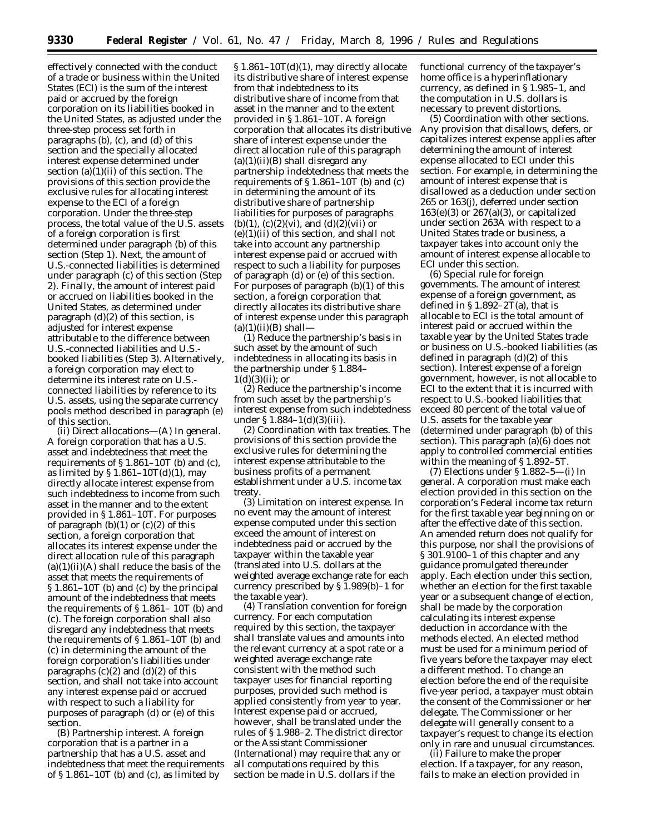effectively connected with the conduct of a trade or business within the United States (ECI) is the sum of the interest paid or accrued by the foreign corporation on its liabilities booked in the United States, as adjusted under the three-step process set forth in paragraphs (b), (c), and (d) of this section and the specially allocated interest expense determined under section  $(a)(1)(ii)$  of this section. The provisions of this section provide the exclusive rules for allocating interest expense to the ECI of a foreign corporation. Under the three-step process, the total value of the U.S. assets of a foreign corporation is first determined under paragraph (b) of this section (Step 1). Next, the amount of U.S.-connected liabilities is determined under paragraph (c) of this section (Step 2). Finally, the amount of interest paid or accrued on liabilities booked in the United States, as determined under paragraph (d)(2) of this section, is adjusted for interest expense attributable to the difference between U.S.-connected liabilities and U.S. booked liabilities (Step 3). Alternatively, a foreign corporation may elect to determine its interest rate on U.S. connected liabilities by reference to its U.S. assets, using the separate currency pools method described in paragraph (e) of this section.

(ii) *Direct allocations*—(A) *In general.* A foreign corporation that has a U.S. asset and indebtedness that meet the requirements of  $\S 1.861-10T$  (b) and (c), as limited by  $$1.861-10T(d)(1)$ , may directly allocate interest expense from such indebtedness to income from such asset in the manner and to the extent provided in § 1.861–10T. For purposes of paragraph  $(b)(1)$  or  $(c)(2)$  of this section, a foreign corporation that allocates its interest expense under the direct allocation rule of this paragraph  $(a)(1)(ii)(A)$  shall reduce the basis of the asset that meets the requirements of § 1.861–10T (b) and (c) by the principal amount of the indebtedness that meets the requirements of § 1.861– 10T (b) and (c). The foreign corporation shall also disregard any indebtedness that meets the requirements of § 1.861–10T (b) and (c) in determining the amount of the foreign corporation's liabilities under paragraphs  $(c)(2)$  and  $(d)(2)$  of this section, and shall not take into account any interest expense paid or accrued with respect to such a liability for purposes of paragraph (d) or (e) of this section.

(B) *Partnership interest.* A foreign corporation that is a partner in a partnership that has a U.S. asset and indebtedness that meet the requirements of  $\S 1.861-10T$  (b) and (c), as limited by

§ 1.861–10T(d)(1), may directly allocate its distributive share of interest expense from that indebtedness to its distributive share of income from that asset in the manner and to the extent provided in § 1.861–10T. A foreign corporation that allocates its distributive share of interest expense under the direct allocation rule of this paragraph  $(a)(1)(ii)(B)$  shall disregard any partnership indebtedness that meets the requirements of § 1.861–10T (b) and (c) in determining the amount of its distributive share of partnership liabilities for purposes of paragraphs (b)(1), (c)(2)(vi), and (d)(2)(vii) or  $(e)(1)(ii)$  of this section, and shall not take into account any partnership interest expense paid or accrued with respect to such a liability for purposes of paragraph (d) or (e) of this section. For purposes of paragraph (b)(1) of this section, a foreign corporation that directly allocates its distributive share of interest expense under this paragraph  $(a)(1)(ii)(B)$  shall-

(*1*) Reduce the partnership's basis in such asset by the amount of such indebtedness in allocating its basis in the partnership under § 1.884–  $1(d)(3)(ii)$ ; or

(*2*) Reduce the partnership's income from such asset by the partnership's interest expense from such indebtedness under § 1.884–1(d)(3)(iii).

(2) *Coordination with tax treaties.* The provisions of this section provide the exclusive rules for determining the interest expense attributable to the business profits of a permanent establishment under a U.S. income tax treaty.

(3) *Limitation on interest expense.* In no event may the amount of interest expense computed under this section exceed the amount of interest on indebtedness paid or accrued by the taxpayer within the taxable year (translated into U.S. dollars at the weighted average exchange rate for each currency prescribed by § 1.989(b)–1 for the taxable year).

(4) *Translation convention for foreign currency.* For each computation required by this section, the taxpayer shall translate values and amounts into the relevant currency at a spot rate or a weighted average exchange rate consistent with the method such taxpayer uses for financial reporting purposes, provided such method is applied consistently from year to year. Interest expense paid or accrued, however, shall be translated under the rules of § 1.988–2. The district director or the Assistant Commissioner (International) may require that any or all computations required by this section be made in U.S. dollars if the

functional currency of the taxpayer's home office is a hyperinflationary currency, as defined in § 1.985–1, and the computation in U.S. dollars is necessary to prevent distortions.

(5) *Coordination with other sections.* Any provision that disallows, defers, or capitalizes interest expense applies after determining the amount of interest expense allocated to ECI under this section. For example, in determining the amount of interest expense that is disallowed as a deduction under section 265 or 163(j), deferred under section  $163(e)(3)$  or  $267(a)(3)$ , or capitalized under section 263A with respect to a United States trade or business, a taxpayer takes into account only the amount of interest expense allocable to ECI under this section.

(6) *Special rule for foreign governments.* The amount of interest expense of a foreign government, as defined in  $\S 1.892 - 2\tilde{T}$ (a), that is allocable to ECI is the total amount of interest paid or accrued within the taxable year by the United States trade or business on U.S.-booked liabilities (as defined in paragraph (d)(2) of this section). Interest expense of a foreign government, however, is not allocable to ECI to the extent that it is incurred with respect to U.S.-booked liabilities that exceed 80 percent of the total value of U.S. assets for the taxable year (determined under paragraph (b) of this section). This paragraph (a)(6) does not apply to controlled commercial entities within the meaning of § 1.892–5T.

(7) *Elections under § 1.882–5*—(i) *In general.* A corporation must make each election provided in this section on the corporation's Federal income tax return for the first taxable year beginning on or after the effective date of this section. An amended return does not qualify for this purpose, nor shall the provisions of § 301.9100–1 of this chapter and any guidance promulgated thereunder apply. Each election under this section, whether an election for the first taxable year or a subsequent change of election, shall be made by the corporation calculating its interest expense deduction in accordance with the methods elected. An elected method must be used for a minimum period of five years before the taxpayer may elect a different method. To change an election before the end of the requisite five-year period, a taxpayer must obtain the consent of the Commissioner or her delegate. The Commissioner or her delegate will generally consent to a taxpayer's request to change its election only in rare and unusual circumstances.

(ii) *Failure to make the proper election.* If a taxpayer, for any reason, fails to make an election provided in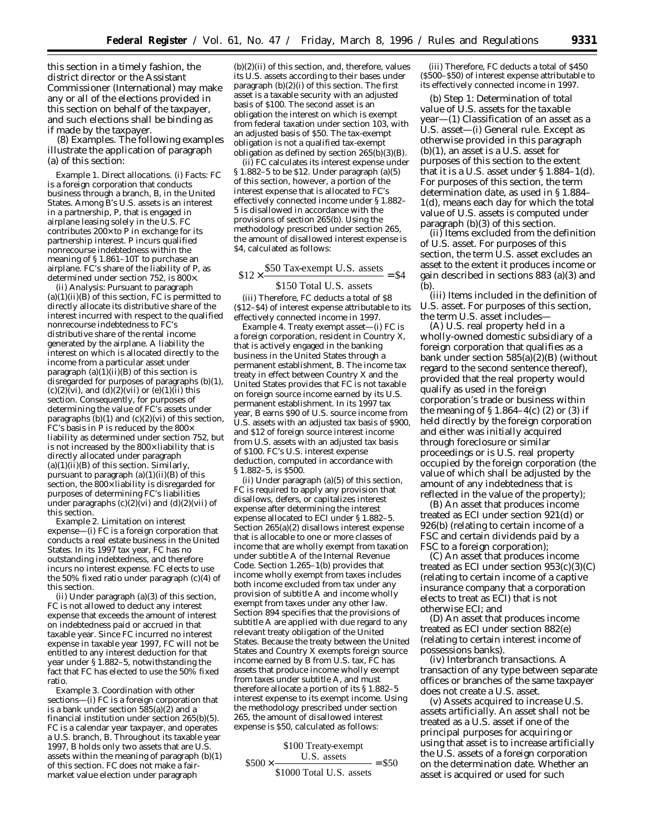this section in a timely fashion, the district director or the Assistant Commissioner (International) may make any or all of the elections provided in this section on behalf of the taxpayer, and such elections shall be binding as if made by the taxpayer.

(8) *Examples.* The following examples illustrate the application of paragraph (a) of this section:

*Example 1. Direct allocations.* (i) *Facts: FC* is a foreign corporation that conducts business through a branch, *B*, in the United States. Among *B*'s U.S. assets is an interest in a partnership, *P*, that is engaged in airplane leasing solely in the U.S. *FC* contributes  $200 \times$  to  $\overrightarrow{P}$  in exchange for its partnership interest. *P* incurs qualified nonrecourse indebtedness within the meaning of § 1.861–10T to purchase an airplane. *FC*'s share of the liability of *P*, as determined under section 752, is 800×.

(ii) *Analysis:* Pursuant to paragraph  $(a)(1)(ii)(B)$  of this section,  $\overline{FC}$  is permitted to directly allocate its distributive share of the interest incurred with respect to the qualified nonrecourse indebtedness to *FC*'s distributive share of the rental income generated by the airplane. A liability the interest on which is allocated directly to the income from a particular asset under paragraph  $(a)(1)(ii)(B)$  of this section is disregarded for purposes of paragraphs (b)(1),  $(c)(2)(vi)$ , and  $(d)(2)(vii)$  or  $(e)(1)(ii)$  this section. Consequently, for purposes of determining the value of *FC*'s assets under paragraphs  $(b)(1)$  and  $(c)(2)(vi)$  of this section, *FC*'s basis in *P* is reduced by the 800× liability as determined under section 752, but is not increased by the 800× liability that is directly allocated under paragraph  $(a)(1)(ii)(B)$  of this section. Similarly, pursuant to paragraph  $(a)(1)(ii)(B)$  of this section, the 800× liability is disregarded for purposes of determining *FC*'s liabilities under paragraphs  $(c)(2)(vi)$  and  $(d)(2)(vii)$  of this section.

*Example 2. Limitation on interest expense*—(i) *FC* is a foreign corporation that conducts a real estate business in the United States. In its 1997 tax year, *FC* has no outstanding indebtedness, and therefore incurs no interest expense. *FC* elects to use the 50% fixed ratio under paragraph (c)(4) of this section.

(ii) Under paragraph (a)(3) of this section, *FC* is not allowed to deduct any interest expense that exceeds the amount of interest on indebtedness paid or accrued in that taxable year. Since *FC* incurred no interest expense in taxable year 1997, *FC* will not be entitled to any interest deduction for that year under § 1.882–5, notwithstanding the fact that *FC* has elected to use the 50% fixed ratio.

*Example 3. Coordination with other sections*—(i) *FC* is a foreign corporation that is a bank under section  $585(a)(2)$  and a financial institution under section 265(b)(5). *FC* is a calendar year taxpayer, and operates a U.S. branch, *B*. Throughout its taxable year 1997, *B* holds only two assets that are U.S. assets within the meaning of paragraph (b)(1) of this section. *FC* does not make a fairmarket value election under paragraph

 $(b)(2)(ii)$  of this section, and, therefore, values its U.S. assets according to their bases under paragraph  $(b)(2)(i)$  of this section. The first asset is a taxable security with an adjusted basis of \$100. The second asset is an obligation the interest on which is exempt from federal taxation under section 103, with an adjusted basis of \$50. The tax-exempt obligation is not a qualified tax-exempt obligation as defined by section 265(b)(3)(B).

(ii) *FC* calculates its interest expense under § 1.882–5 to be \$12. Under paragraph (a)(5) of this section, however, a portion of the interest expense that is allocated to *FC*'s effectively connected income under § 1.882– 5 is disallowed in accordance with the provisions of section 265(b). Using the methodology prescribed under section 265, the amount of disallowed interest expense is \$4, calculated as follows:

# $$12 \times \frac{$50 \text{ Tax-exempt U.S. assets}}{4} = $4$

## \$150 Total U.S. assets

(iii) Therefore, *FC* deducts a total of \$8 (\$12–\$4) of interest expense attributable to its effectively connected income in 1997.

*Example 4. Treaty exempt asset*—(i) *FC* is a foreign corporation, resident in Country X, that is actively engaged in the banking business in the United States through a permanent establishment, *B*. The income tax treaty in effect between Country X and the United States provides that *FC* is not taxable on foreign source income earned by its U.S. permanent establishment. In its 1997 tax year, *B* earns \$90 of U.S. source income from U.S. assets with an adjusted tax basis of \$900, and \$12 of foreign source interest income from U.S. assets with an adjusted tax basis of \$100. *FC*'s U.S. interest expense deduction, computed in accordance with  $\S 1.882 - 5$ , is  $$500$ .

(ii) Under paragraph (a)(5) of this section, *FC* is required to apply any provision that disallows, defers, or capitalizes interest expense after determining the interest expense allocated to ECI under § 1.882–5. Section 265(a)(2) disallows interest expense that is allocable to one or more classes of income that are wholly exempt from taxation under subtitle A of the Internal Revenue Code. Section 1.265–1(b) provides that income wholly exempt from taxes includes both income excluded from tax under any provision of subtitle A and income wholly exempt from taxes under any other law. Section 894 specifies that the provisions of subtitle A are applied with due regard to any relevant treaty obligation of the United States. Because the treaty between the United States and Country X exempts foreign source income earned by B from U.S. tax, *FC* has assets that produce income wholly exempt from taxes under subtitle A, and must therefore allocate a portion of its § 1.882–5 interest expense to its exempt income. Using the methodology prescribed under section 265, the amount of disallowed interest expense is \$50, calculated as follows:

 $$500 \times \_$   $8500 \times \_$  = \$50 \$100 Treaty-exempt U.S. assets

\$1000 Total U.S. assets

(iii) Therefore, *FC* deducts a total of \$450 (\$500–\$50) of interest expense attributable to its effectively connected income in 1997.

(b) *Step 1: Determination of total value of U.S. assets for the taxable year*—(1) *Classification of an asset as a U.S. asset*—(i) *General rule.* Except as otherwise provided in this paragraph (b)(1), an asset is a U.S. asset for purposes of this section to the extent that it is a U.S. asset under  $\S 1.884-1(d)$ . For purposes of this section, the term *determination date,* as used in § 1.884– 1(d), means each day for which the total value of U.S. assets is computed under paragraph (b)(3) of this section.

(ii) *Items excluded from the definition of U.S. asset.* For purposes of this section, the term *U.S. asset* excludes an asset to the extent it produces income or gain described in sections 883 (a)(3) and (b).

(iii) *Items included in the definition of U.S. asset.* For purposes of this section, the term *U.S.* asset includes-

(A) U.S. real property held in a wholly-owned domestic subsidiary of a foreign corporation that qualifies as a bank under section 585(a)(2)(B) (without regard to the second sentence thereof), provided that the real property would qualify as used in the foreign corporation's trade or business within the meaning of  $\S 1.864-4(c)$  (2) or (3) if held directly by the foreign corporation and either was initially acquired through foreclosure or similar proceedings or is U.S. real property occupied by the foreign corporation (the value of which shall be adjusted by the amount of any indebtedness that is reflected in the value of the property);

(B) An asset that produces income treated as ECI under section 921(d) or 926(b) (relating to certain income of a FSC and certain dividends paid by a FSC to a foreign corporation);

(C) An asset that produces income treated as ECI under section 953(c)(3)(C) (relating to certain income of a captive insurance company that a corporation elects to treat as ECI) that is not otherwise ECI; and

(D) An asset that produces income treated as ECI under section 882(e) (relating to certain interest income of possessions banks).

(iv) *Interbranch transactions.* A transaction of any type between separate offices or branches of the same taxpayer does not create a U.S. asset.

(v) *Assets acquired to increase U.S. assets artificially.* An asset shall not be treated as a U.S. asset if one of the principal purposes for acquiring or using that asset is to increase artificially the U.S. assets of a foreign corporation on the determination date. Whether an asset is acquired or used for such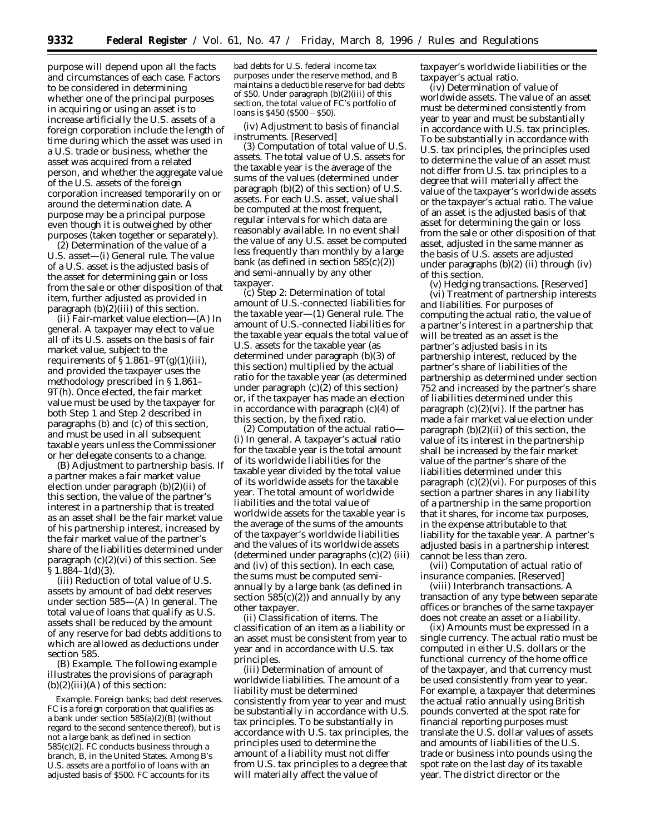purpose will depend upon all the facts and circumstances of each case. Factors to be considered in determining whether one of the principal purposes in acquiring or using an asset is to increase artificially the U.S. assets of a foreign corporation include the length of time during which the asset was used in a U.S. trade or business, whether the asset was acquired from a related person, and whether the aggregate value of the U.S. assets of the foreign corporation increased temporarily on or around the determination date. A purpose may be a principal purpose even though it is outweighed by other purposes (taken together or separately).

(2) *Determination of the value of a U.S. asset*—(i) *General rule.* The value of a U.S. asset is the adjusted basis of the asset for determining gain or loss from the sale or other disposition of that item, further adjusted as provided in paragraph  $(b)(2)$ (iii) of this section.

(ii) *Fair-market value election*—(A) *In general.* A taxpayer may elect to value all of its U.S. assets on the basis of fair market value, subject to the requirements of  $\S 1.861 - 9T(g)(1)(iii)$ , and provided the taxpayer uses the methodology prescribed in § 1.861– 9T(h). Once elected, the fair market value must be used by the taxpayer for both Step 1 and Step 2 described in paragraphs (b) and (c) of this section, and must be used in all subsequent taxable years unless the Commissioner or her delegate consents to a change.

(B) *Adjustment to partnership basis.* If a partner makes a fair market value election under paragraph (b)(2)(ii) of this section, the value of the partner's interest in a partnership that is treated as an asset shall be the fair market value of his partnership interest, increased by the fair market value of the partner's share of the liabilities determined under paragraph  $(c)(2)(vi)$  of this section. See  $§ 1.884-1(d)(3).$ 

(iii) *Reduction of total value of U.S. assets by amount of bad debt reserves under section 585*—(A) *In general.* The total value of loans that qualify as U.S. assets shall be reduced by the amount of any reserve for bad debts additions to which are allowed as deductions under section 585.

(B) *Example.* The following example illustrates the provisions of paragraph  $(b)(2)(iii)(A)$  of this section:

*Example. Foreign banks; bad debt reserves. FC* is a foreign corporation that qualifies as a bank under section  $585(a)(2)(B)$  (without regard to the second sentence thereof), but is not a large bank as defined in section 585(c)(2). *FC* conducts business through a branch, *B*, in the United States. Among *B*'s U.S. assets are a portfolio of loans with an adjusted basis of \$500. *FC* accounts for its

bad debts for U.S. federal income tax purposes under the reserve method, and *B* maintains a deductible reserve for bad debts of \$50. Under paragraph (b)(2)(iii) of this section, the total value of *FC*'s portfolio of loans is  $$450 ($500 - $50).$ 

## (iv) *Adjustment to basis of financial instruments.* [Reserved]

(3) *Computation of total value of U.S. assets.* The total value of U.S. assets for the taxable year is the average of the sums of the values (determined under paragraph (b)(2) of this section) of U.S. assets. For each U.S. asset, value shall be computed at the most frequent, regular intervals for which data are reasonably available. In no event shall the value of any U.S. asset be computed less frequently than monthly by a large bank (as defined in section 585(c)(2)) and semi-annually by any other taxpayer.

(c) *Step 2: Determination of total amount of U.S.-connected liabilities for the taxable year*—(1) *General rule.* The amount of U.S.-connected liabilities for the taxable year equals the total value of U.S. assets for the taxable year (as determined under paragraph (b)(3) of this section) multiplied by the actual ratio for the taxable year (as determined under paragraph  $(c)(2)$  of this section) or, if the taxpayer has made an election in accordance with paragraph (c)(4) of this section, by the fixed ratio.

(2) *Computation of the actual ratio*— (i) *In general.* A taxpayer's actual ratio for the taxable year is the total amount of its worldwide liabilities for the taxable year divided by the total value of its worldwide assets for the taxable year. The total amount of worldwide liabilities and the total value of worldwide assets for the taxable year is the average of the sums of the amounts of the taxpayer's worldwide liabilities and the values of its worldwide assets (determined under paragraphs (c)(2) (iii) and (iv) of this section). In each case, the sums must be computed semiannually by a large bank (as defined in section  $585(c)(2)$  and annually by any other taxpayer.

(ii) *Classification of items.* The classification of an item as a liability or an asset must be consistent from year to year and in accordance with U.S. tax principles.

(iii) *Determination of amount of worldwide liabilities.* The amount of a liability must be determined consistently from year to year and must be substantially in accordance with U.S. tax principles. To be substantially in accordance with U.S. tax principles, the principles used to determine the amount of a liability must not differ from U.S. tax principles to a degree that will materially affect the value of

taxpayer's worldwide liabilities or the taxpayer's actual ratio.

(iv) *Determination of value of worldwide assets.* The value of an asset must be determined consistently from year to year and must be substantially in accordance with U.S. tax principles. To be substantially in accordance with U.S. tax principles, the principles used to determine the value of an asset must not differ from U.S. tax principles to a degree that will materially affect the value of the taxpayer's worldwide assets or the taxpayer's actual ratio. The value of an asset is the adjusted basis of that asset for determining the gain or loss from the sale or other disposition of that asset, adjusted in the same manner as the basis of U.S. assets are adjusted under paragraphs  $(b)(2)$  (ii) through (iv) of this section.

(v) *Hedging transactions.* [Reserved] (vi) *Treatment of partnership interests and liabilities.* For purposes of computing the actual ratio, the value of a partner's interest in a partnership that will be treated as an asset is the partner's adjusted basis in its partnership interest, reduced by the partner's share of liabilities of the partnership as determined under section 752 and increased by the partner's share of liabilities determined under this paragraph (c)(2)(vi). If the partner has made a fair market value election under paragraph  $(b)(2)(ii)$  of this section, the value of its interest in the partnership shall be increased by the fair market value of the partner's share of the liabilities determined under this paragraph  $(c)(2)(vi)$ . For purposes of this section a partner shares in any liability of a partnership in the same proportion that it shares, for income tax purposes, in the expense attributable to that liability for the taxable year. A partner's adjusted basis in a partnership interest cannot be less than zero.

(vii) *Computation of actual ratio of insurance companies.* [Reserved]

(viii) *Interbranch transactions.* A transaction of any type between separate offices or branches of the same taxpayer does not create an asset or a liability.

(ix) *Amounts must be expressed in a single currency.* The actual ratio must be computed in either U.S. dollars or the functional currency of the home office of the taxpayer, and that currency must be used consistently from year to year. For example, a taxpayer that determines the actual ratio annually using British pounds converted at the spot rate for financial reporting purposes must translate the U.S. dollar values of assets and amounts of liabilities of the U.S. trade or business into pounds using the spot rate on the last day of its taxable year. The district director or the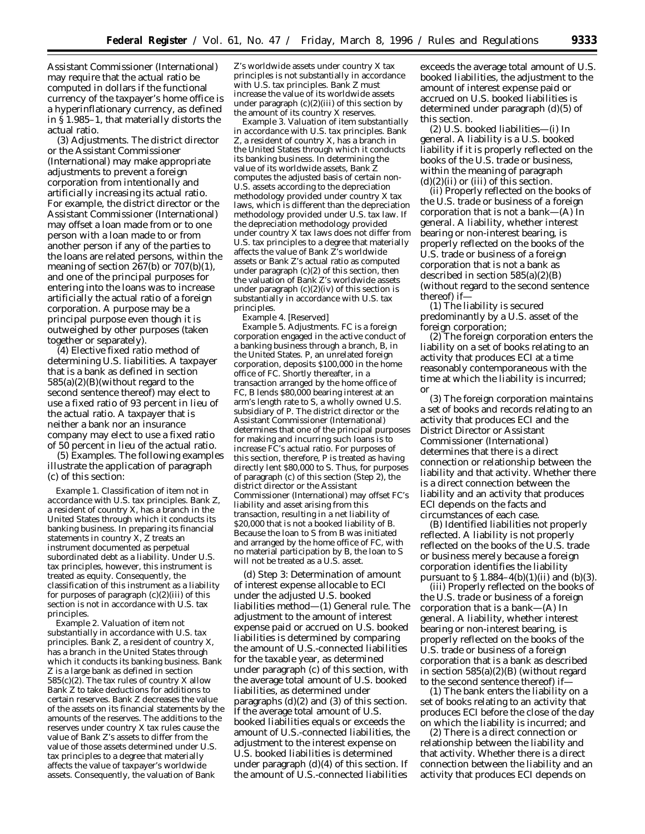Assistant Commissioner (International) may require that the actual ratio be computed in dollars if the functional currency of the taxpayer's home office is a hyperinflationary currency, as defined in § 1.985–1, that materially distorts the actual ratio.

(3) *Adjustments.* The district director or the Assistant Commissioner (International) may make appropriate adjustments to prevent a foreign corporation from intentionally and artificially increasing its actual ratio. For example, the district director or the Assistant Commissioner (International) may offset a loan made from or to one person with a loan made to or from another person if any of the parties to the loans are related persons, within the meaning of section 267(b) or 707(b)(1), and one of the principal purposes for entering into the loans was to increase artificially the actual ratio of a foreign corporation. A purpose may be a principal purpose even though it is outweighed by other purposes (taken together or separately).

(4) *Elective fixed ratio method of determining U.S. liabilities.* A taxpayer that is a bank as defined in section 585(a)(2)(B)(without regard to the second sentence thereof) may elect to use a fixed ratio of 93 percent in lieu of the actual ratio. A taxpayer that is neither a bank nor an insurance company may elect to use a fixed ratio of 50 percent in lieu of the actual ratio.

(5) *Examples.* The following examples illustrate the application of paragraph (c) of this section:

*Example 1. Classification of item not in accordance with U.S. tax principles.* Bank *Z*, a resident of country  $X$ , has a branch in the United States through which it conducts its banking business. In preparing its financial statements in country *X, Z* treats an instrument documented as perpetual subordinated debt as a liability. Under U.S. tax principles, however, this instrument is treated as equity. Consequently, the classification of this instrument as a liability for purposes of paragraph  $(c)(2)(iii)$  of this section is not in accordance with U.S. tax principles.

*Example 2. Valuation of item not substantially in accordance with U.S. tax principles.* Bank *Z,* a resident of country *X*, has a branch in the United States through which it conducts its banking business. Bank *Z* is a large bank as defined in section 585(c)(2). The tax rules of country *X* allow Bank *Z* to take deductions for additions to certain reserves. Bank *Z* decreases the value of the assets on its financial statements by the amounts of the reserves. The additions to the reserves under country *X* tax rules cause the value of Bank *Z*'s assets to differ from the value of those assets determined under U.S. tax principles to a degree that materially affects the value of taxpayer's worldwide assets. Consequently, the valuation of Bank

*Z*'s worldwide assets under country *X* tax principles is not substantially in accordance with U.S. tax principles. Bank *Z* must increase the value of its worldwide assets under paragraph (c)(2)(iii) of this section by the amount of its country *X* reserves.

*Example 3. Valuation of item substantially in accordance with U.S. tax principles.* Bank *Z*, a resident of country *X*, has a branch in the United States through which it conducts its banking business. In determining the value of its worldwide assets, Bank *Z* computes the adjusted basis of certain non-U.S. assets according to the depreciation methodology provided under country *X* tax laws, which is different than the depreciation methodology provided under U.S. tax law. If the depreciation methodology provided under country *X* tax laws does not differ from U.S. tax principles to a degree that materially affects the value of Bank *Z*'s worldwide assets or Bank *Z*'s actual ratio as computed under paragraph (c)(2) of this section, then the valuation of Bank *Z*'s worldwide assets under paragraph  $(c)(2)(iv)$  of this section is substantially in accordance with U.S. tax principles.

*Example 4.* [Reserved]

*Example 5. Adjustments. FC* is a foreign corporation engaged in the active conduct of a banking business through a branch, *B,* in the United States. *P*, an unrelated foreign corporation, deposits \$100,000 in the home office of *FC.* Shortly thereafter, in a transaction arranged by the home office of *FC, B* lends \$80,000 bearing interest at an arm's length rate to *S*, a wholly owned U.S. subsidiary of *P.* The district director or the Assistant Commissioner (International) determines that one of the principal purposes for making and incurring such loans is to increase *FC*'s actual ratio. For purposes of this section, therefore, *P* is treated as having directly lent \$80,000 to S. Thus, for purposes of paragraph (c) of this section (Step 2), the district director or the Assistant Commissioner (International) may offset *FC*'s liability and asset arising from this transaction, resulting in a net liability of \$20,000 that is not a booked liability of *B.* Because the loan to *S* from *B* was initiated and arranged by the home office of *FC,* with no material participation by *B*, the loan to *S* will not be treated as a U.S. asset.

(d) *Step 3: Determination of amount of interest expense allocable to ECI under the adjusted U.S. booked liabilities method—*(1) *General rule.* The adjustment to the amount of interest expense paid or accrued on U.S. booked liabilities is determined by comparing the amount of U.S.-connected liabilities for the taxable year, as determined under paragraph (c) of this section, with the average total amount of U.S. booked liabilities, as determined under paragraphs (d)(2) and (3) of this section. If the average total amount of U.S. booked liabilities equals or exceeds the amount of U.S.-connected liabilities, the adjustment to the interest expense on U.S. booked liabilities is determined under paragraph (d)(4) of this section. If the amount of U.S.-connected liabilities

exceeds the average total amount of U.S. booked liabilities, the adjustment to the amount of interest expense paid or accrued on U.S. booked liabilities is determined under paragraph (d)(5) of this section.

(2) *U.S. booked liabilities—*(i) *In general.* A liability is a *U.S. booked liability* if it is properly reflected on the books of the U.S. trade or business, within the meaning of paragraph  $(d)(2)(ii)$  or (iii) of this section.

(ii) *Properly reflected on the books of the U.S. trade or business of a foreign corporation that is not a bank—*(A) *In general.* A liability, whether interest bearing or non-interest bearing, is properly reflected on the books of the U.S. trade or business of a foreign corporation that is not a bank as described in section 585(a)(2)(B) (without regard to the second sentence thereof) if—

(*1*) The liability is secured predominantly by a U.S. asset of the foreign corporation;

(*2*) The foreign corporation enters the liability on a set of books relating to an activity that produces ECI at a time reasonably contemporaneous with the time at which the liability is incurred; or

(*3*) The foreign corporation maintains a set of books and records relating to an activity that produces ECI and the District Director or Assistant Commissioner (International) determines that there is a direct connection or relationship between the liability and that activity. Whether there is a direct connection between the liability and an activity that produces ECI depends on the facts and circumstances of each case.

(B) *Identified liabilities not properly reflected.* A liability is not properly reflected on the books of the U.S. trade or business merely because a foreign corporation identifies the liability pursuant to  $$ 1.884-4(b)(1)(ii)$  and  $(b)(3)$ .

(iii) *Properly reflected on the books of the U.S. trade or business of a foreign corporation that is a bank—*(A) *In general.* A liability, whether interest bearing or non-interest bearing, is properly reflected on the books of the U.S. trade or business of a foreign corporation that is a bank as described in section 585(a)(2)(B) (without regard to the second sentence thereof) if—

(*1*) The bank enters the liability on a set of books relating to an activity that produces ECI before the close of the day on which the liability is incurred; and

(*2*) There is a direct connection or relationship between the liability and that activity. Whether there is a direct connection between the liability and an activity that produces ECI depends on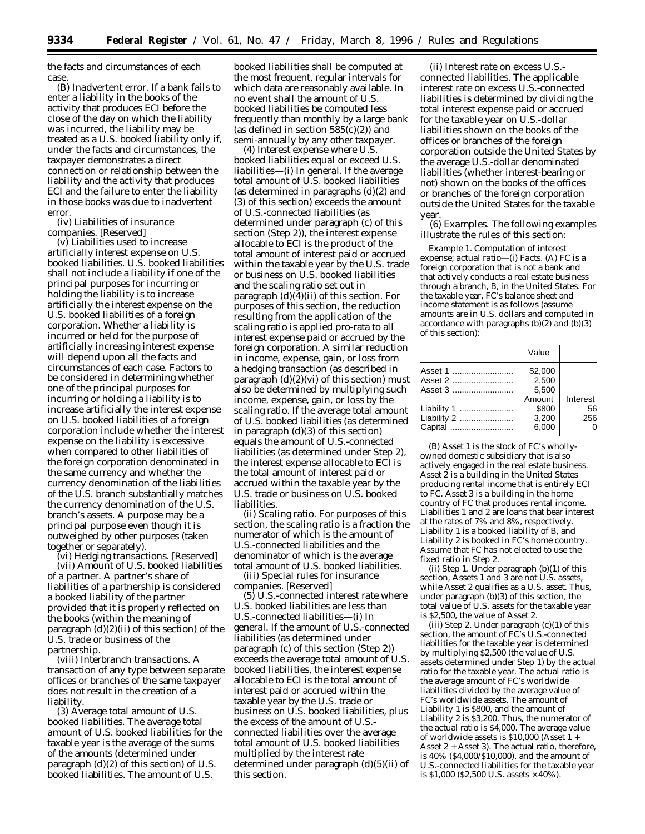the facts and circumstances of each case.

(B) *Inadvertent error.* If a bank fails to enter a liability in the books of the activity that produces ECI before the close of the day on which the liability was incurred, the liability may be treated as a U.S. booked liability only if, under the facts and circumstances, the taxpayer demonstrates a direct connection or relationship between the liability and the activity that produces ECI and the failure to enter the liability in those books was due to inadvertent error.

(iv) *Liabilities of insurance companies.* [Reserved]

(v) *Liabilities used to increase artificially interest expense on U.S. booked liabilities.* U.S. booked liabilities shall not include a liability if one of the principal purposes for incurring or holding the liability is to increase artificially the interest expense on the U.S. booked liabilities of a foreign corporation. Whether a liability is incurred or held for the purpose of artificially increasing interest expense will depend upon all the facts and circumstances of each case. Factors to be considered in determining whether one of the principal purposes for incurring or holding a liability is to increase artificially the interest expense on U.S. booked liabilities of a foreign corporation include whether the interest expense on the liability is excessive when compared to other liabilities of the foreign corporation denominated in the same currency and whether the currency denomination of the liabilities of the U.S. branch substantially matches the currency denomination of the U.S. branch's assets. A purpose may be a principal purpose even though it is outweighed by other purposes (taken together or separately).

(vi) *Hedging transactions.* [Reserved] (vii) *Amount of U.S. booked liabilities of a partner.* A partner's share of liabilities of a partnership is considered a booked liability of the partner provided that it is properly reflected on the books (within the meaning of paragraph (d)(2)(ii) of this section) of the U.S. trade or business of the partnership.

(viii) *Interbranch transactions.* A transaction of any type between separate offices or branches of the same taxpayer does not result in the creation of a liability.

(3) *Average total amount of U.S. booked liabilities.* The *average total amount* of U.S. booked liabilities for the taxable year is the average of the sums of the amounts (determined under paragraph (d)(2) of this section) of U.S. booked liabilities. The amount of U.S.

booked liabilities shall be computed at the most frequent, regular intervals for which data are reasonably available. In no event shall the amount of U.S. booked liabilities be computed less frequently than monthly by a large bank (as defined in section  $585(c)(2)$ ) and semi-annually by any other taxpayer.

(4) *Interest expense where U.S. booked liabilities equal or exceed U.S. liabilities*—(i) *In general.* If the average total amount of U.S. booked liabilities (as determined in paragraphs (d)(2) and (3) of this section) exceeds the amount of U.S.-connected liabilities (as determined under paragraph (c) of this section (Step 2)), the interest expense allocable to ECI is the product of the total amount of interest paid or accrued within the taxable year by the U.S. trade or business on U.S. booked liabilities and the scaling ratio set out in paragraph (d)(4)(ii) of this section. For purposes of this section, the reduction resulting from the application of the scaling ratio is applied pro-rata to all interest expense paid or accrued by the foreign corporation. A similar reduction in income, expense, gain, or loss from a hedging transaction (as described in paragraph  $(d)(2)(vi)$  of this section) must also be determined by multiplying such income, expense, gain, or loss by the scaling ratio. If the average total amount of U.S. booked liabilities (as determined in paragraph (d)(3) of this section) equals the amount of U.S.-connected liabilities (as determined under *Step 2*), the interest expense allocable to ECI is the total amount of interest paid or accrued within the taxable year by the U.S. trade or business on U.S. booked liabilities.

(ii) *Scaling ratio.* For purposes of this section, the scaling ratio is a fraction the numerator of which is the amount of U.S.-connected liabilities and the denominator of which is the average total amount of U.S. booked liabilities.

(iii) *Special rules for insurance companies.* [Reserved]

(5) *U.S.-connected interest rate where U.S. booked liabilities are less than U.S.-connected liabilities*—(i) *In general.* If the amount of U.S.-connected liabilities (as determined under paragraph (c) of this section (Step 2)) exceeds the average total amount of U.S. booked liabilities, the interest expense allocable to ECI is the total amount of interest paid or accrued within the taxable year by the U.S. trade or business on U.S. booked liabilities, plus the excess of the amount of U.S. connected liabilities over the average total amount of U.S. booked liabilities multiplied by the interest rate determined under paragraph (d)(5)(ii) of this section.

(ii) *Interest rate on excess U.S. connected liabilities.* The applicable interest rate on excess U.S.-connected liabilities is determined by dividing the total interest expense paid or accrued for the taxable year on U.S.-dollar liabilities shown on the books of the offices or branches of the foreign corporation outside the United States by the average U.S.-dollar denominated liabilities (whether interest-bearing or not) shown on the books of the offices or branches of the foreign corporation outside the United States for the taxable year.

(6) *Examples.* The following examples illustrate the rules of this section:

*Example 1. Computation of interest expense; actual ratio*—(i) *Facts.* (A) *FC* is a foreign corporation that is not a bank and that actively conducts a real estate business through a branch, *B*, in the United States. For the taxable year, *FC*'s balance sheet and income statement is as follows (assume amounts are in U.S. dollars and computed in accordance with paragraphs (b)(2) and (b)(3) of this section):

|         | Value   |          |
|---------|---------|----------|
| Asset 1 | \$2,000 |          |
| Asset 2 | 2.500   |          |
|         | 5.500   |          |
|         | Amount  | Interest |
|         | \$800   | 56       |
|         | 3,200   | 256      |
|         | 6,000   | 0        |
|         |         |          |

(B) Asset 1 is the stock of *FC*'s whollyowned domestic subsidiary that is also actively engaged in the real estate business. Asset 2 is a building in the United States producing rental income that is entirely ECI to *FC*. Asset 3 is a building in the home country of *FC* that produces rental income. Liabilities 1 and 2 are loans that bear interest at the rates of 7% and 8%, respectively. Liability 1 is a booked liability of B, and Liability 2 is booked in *FC*'s home country. Assume that *FC* has not elected to use the fixed ratio in Step 2.

(ii) *Step 1.* Under paragraph (b)(1) of this section, Assets 1 and 3 are not U.S. assets, while Asset 2 qualifies as a U.S. asset. Thus, under paragraph (b)(3) of this section, the total value of U.S. assets for the taxable year is \$2,500, the value of Asset 2.

(iii) *Step 2.* Under paragraph (c)(1) of this section, the amount of  $\overline{FC}$ 's U.S.-connected liabilities for the taxable year is determined by multiplying \$2,500 (the value of U.S. assets determined under Step 1) by the actual ratio for the taxable year. The actual ratio is the average amount of *FC*'s worldwide liabilities divided by the average value of *FC*'s worldwide assets. The amount of Liability 1 is \$800, and the amount of Liability 2 is \$3,200. Thus, the numerator of the actual ratio is \$4,000. The average value of worldwide assets is \$10,000 (Asset 1 + Asset 2 + Asset 3). The actual ratio, therefore, is 40% (\$4,000/\$10,000), and the amount of U.S.-connected liabilities for the taxable year is \$1,000 (\$2,500 U.S. assets  $\times$  40%).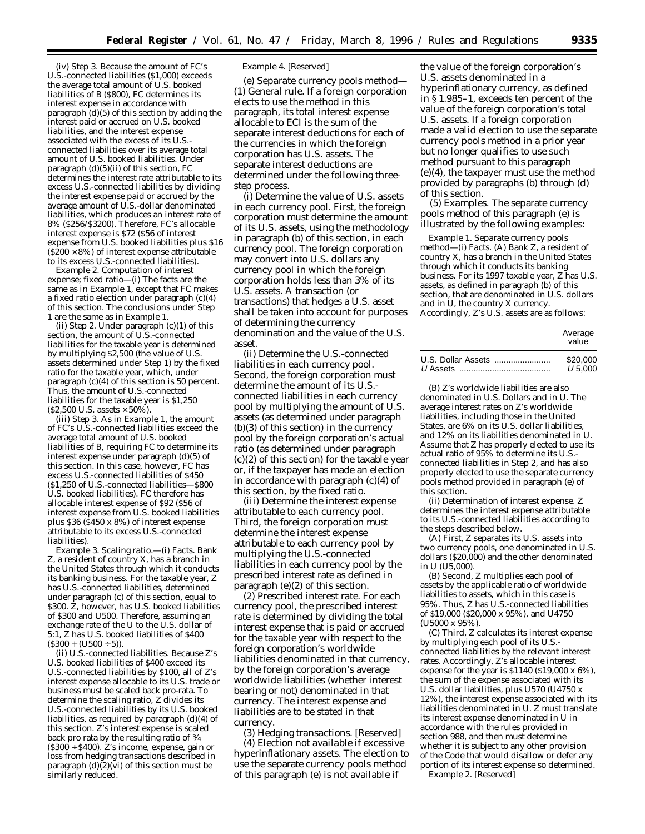(iv) *Step 3.* Because the amount of *FC*'s U.S.-connected liabilities (\$1,000) exceeds the average total amount of U.S. booked liabilities of *B* (\$800), *FC* determines its interest expense in accordance with paragraph (d)(5) of this section by adding the interest paid or accrued on U.S. booked liabilities, and the interest expense associated with the excess of its U.S. connected liabilities over its average total amount of U.S. booked liabilities. Under paragraph (d)(5)(ii) of this section, *FC* determines the interest rate attributable to its excess U.S.-connected liabilities by dividing the interest expense paid or accrued by the average amount of U.S.-dollar denominated liabilities, which produces an interest rate of 8% (\$256/\$3200). Therefore, *FC*'s allocable interest expense is \$72 (\$56 of interest expense from U.S. booked liabilities plus \$16  $($ \$200  $\times$  8%) of interest expense attributable to its excess U.S.-connected liabilities).

*Example 2. Computation of interest expense; fixed ratio*—(i) The facts are the same as in *Example 1*, except that *FC* makes a fixed ratio election under paragraph (c)(4) of this section. The conclusions under Step 1 are the same as in *Example 1*.

(ii) *Step 2.* Under paragraph (c)(1) of this section, the amount of U.S.-connected liabilities for the taxable year is determined by multiplying \$2,500 (the value of U.S. assets determined under Step 1) by the fixed ratio for the taxable year, which, under paragraph (c)(4) of this section is 50 percent. Thus, the amount of U.S.-connected liabilities for the taxable year is \$1,250  $($ \$2,500 U.S. assets  $\times$  50%).

(iii) *Step 3.* As in *Example 1*, the amount of *FC*'s U.S.-connected liabilities exceed the average total amount of U.S. booked liabilities of *B*, requiring *FC* to determine its interest expense under paragraph (d)(5) of this section. In this case, however, *FC* has excess U.S.-connected liabilities of \$450 (\$1,250 of U.S.-connected liabilities—\$800 U.S. booked liabilities). *FC* therefore has allocable interest expense of \$92 (\$56 of interest expense from U.S. booked liabilities plus \$36 (\$450 x 8%) of interest expense attributable to its excess U.S.-connected liabilities).

*Example 3. Scaling ratio.*—(i) *Facts.* Bank *Z*, a resident of country *X*, has a branch in the United States through which it conducts its banking business. For the taxable year, *Z* has U.S.-connected liabilities, determined under paragraph (c) of this section, equal to \$300. *Z*, however, has U.S. booked liabilities of \$300 and *U*500. Therefore, assuming an exchange rate of the *U* to the U.S. dollar of 5:1, *Z* has U.S. booked liabilities of \$400  $($ \$300 +  $(U500 + 5)$ ).

(ii) *U.S.-connected liabilities.* Because *Z*'s U.S. booked liabilities of \$400 exceed its U.S.-connected liabilities by \$100, all of *Z*'s interest expense allocable to its U.S. trade or business must be scaled back pro-rata. To determine the scaling ratio, *Z* divides its U.S.-connected liabilities by its U.S. booked liabilities, as required by paragraph (d)(4) of this section. *Z*'s interest expense is scaled back pro rata by the resulting ratio of 3⁄4 (\$300 ÷ \$400). *Z*'s income, expense, gain or loss from hedging transactions described in paragraph  $(d)(2)(vi)$  of this section must be similarly reduced.

#### *Example 4.* [Reserved]

(e) *Separate currency pools method*— (1) *General rule.* If a foreign corporation elects to use the method in this paragraph, its total interest expense allocable to ECI is the sum of the separate interest deductions for each of the currencies in which the foreign corporation has U.S. assets. The separate interest deductions are determined under the following threestep process.

(i) *Determine the value of U.S. assets in each currency pool.* First, the foreign corporation must determine the amount of its U.S. assets, using the methodology in paragraph (b) of this section, in each currency pool. The foreign corporation may convert into U.S. dollars any currency pool in which the foreign corporation holds less than 3% of its U.S. assets. A transaction (or transactions) that hedges a U.S. asset shall be taken into account for purposes of determining the currency denomination and the value of the U.S. asset.

(ii) *Determine the U.S.-connected liabilities in each currency pool.* Second, the foreign corporation must determine the amount of its U.S. connected liabilities in each currency pool by multiplying the amount of U.S. assets (as determined under paragraph (b)(3) of this section) in the currency pool by the foreign corporation's actual ratio (as determined under paragraph (c)(2) of this section) for the taxable year or, if the taxpayer has made an election in accordance with paragraph (c)(4) of this section, by the fixed ratio.

(iii) *Determine the interest expense attributable to each currency pool.* Third, the foreign corporation must determine the interest expense attributable to each currency pool by multiplying the U.S.-connected liabilities in each currency pool by the prescribed interest rate as defined in paragraph (e)(2) of this section.

(2) *Prescribed interest rate.* For each currency pool, the prescribed interest rate is determined by dividing the total interest expense that is paid or accrued for the taxable year with respect to the foreign corporation's worldwide liabilities denominated in that currency, by the foreign corporation's average worldwide liabilities (whether interest bearing or not) denominated in that currency. The interest expense and liabilities are to be stated in that currency.

(3) *Hedging transactions.* [Reserved] (4) *Election not available if excessive hyperinflationary assets.* The election to use the separate currency pools method of this paragraph (e) is not available if

the value of the foreign corporation's U.S. assets denominated in a hyperinflationary currency, as defined in § 1.985–1, exceeds ten percent of the value of the foreign corporation's total U.S. assets. If a foreign corporation made a valid election to use the separate currency pools method in a prior year but no longer qualifies to use such method pursuant to this paragraph (e)(4), the taxpayer must use the method provided by paragraphs (b) through (d) of this section.

(5) *Examples.* The separate currency pools method of this paragraph (e) is illustrated by the following examples:

*Example 1. Separate currency pools method*—(i) *Facts.* (A) Bank *Z*, a resident of country *X*, has a branch in the United States through which it conducts its banking business. For its 1997 taxable year, *Z* has U.S. assets, as defined in paragraph (b) of this section, that are denominated in U.S. dollars and in *U*, the country *X* currency. Accordingly, *Z*'s U.S. assets are as follows:

| Average<br>value |
|------------------|
| \$20,000         |
| U 5.000          |

(B) *Z*'s worldwide liabilities are also denominated in U.S. Dollars and in *U*. The average interest rates on *Z*'s worldwide liabilities, including those in the United States, are 6% on its U.S. dollar liabilities, and 12% on its liabilities denominated in *U*. Assume that *Z* has properly elected to use its actual ratio of 95% to determine its U.S. connected liabilities in Step 2, and has also properly elected to use the separate currency pools method provided in paragraph (e) of this section.

(ii) *Determination of interest expense. Z* determines the interest expense attributable to its U.S.-connected liabilities according to the steps described below.

(A) First, *Z* separates its U.S. assets into two currency pools, one denominated in U.S. dollars (\$20,000) and the other denominated in *U* (*U*5,000).

(B) Second, *Z* multiplies each pool of assets by the applicable ratio of worldwide liabilities to assets, which in this case is 95%. Thus, Z has U.S.-connected liabilities of \$19,000 (\$20,000 x 95%), and *U*4750 (*U*5000 x 95%).

(C) Third, *Z* calculates its interest expense by multiplying each pool of its U.S. connected liabilities by the relevant interest rates. Accordingly, *Z*'s allocable interest expense for the year is \$1140 (\$19,000 x 6%), the sum of the expense associated with its U.S. dollar liabilities, plus *U*570 (*U*4750 x 12%), the interest expense associated with its liabilities denominated in *U*. *Z* must translate its interest expense denominated in *U* in accordance with the rules provided in section 988, and then must determine whether it is subject to any other provision of the Code that would disallow or defer any portion of its interest expense so determined. *Example 2.* [Reserved]